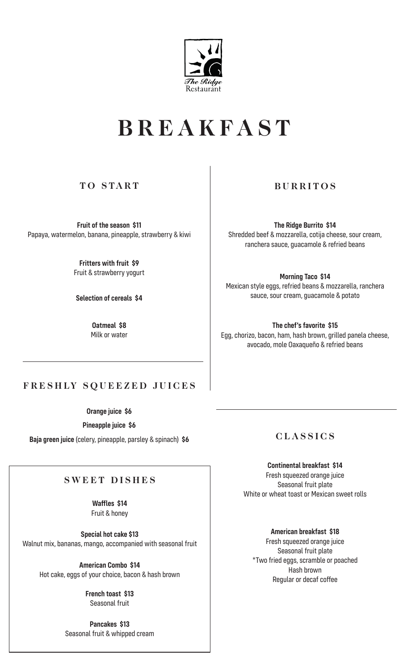

# **BREAKFAST**

# **TO START**

**Fruit of the season \$11** Papaya, watermelon, banana, pineapple, strawberry & kiwi

> **Fritters with fruit \$9** Fruit & strawberry yogurt

**Selection of cereals \$4**

**Oatmeal \$8** Milk or water

# **BURRITOS**

**The Ridge Burrito \$14**  Shredded beef & mozzarella, cotija cheese, sour cream, ranchera sauce, guacamole & refried beans

**Morning Taco \$14** Mexican style eggs, refried beans & mozzarella, ranchera sauce, sour cream, guacamole & potato

**The chef's favorite \$15** Egg, chorizo, bacon, ham, hash brown, grilled panela cheese, avocado, mole Oaxaqueño & refried beans

### **FRESHLY SQUEEZED JUICES**

**Orange juice \$6**

**Pineapple juice \$6**

**Baja green juice** (celery, pineapple, parsley & spinach) **\$6**

### **SWEET DISHES**

**Waffles \$14** Fruit & honey

**Special hot cake \$13** Walnut mix, bananas, mango, accompanied with seasonal fruit

**American Combo \$14** Hot cake, eggs of your choice, bacon & hash brown

> **French toast \$13** Seasonal fruit

**Pancakes \$13** Seasonal fruit & whipped cream **CLASSICS**

**Continental breakfast \$14** Fresh squeezed orange juice Seasonal fruit plate White or wheat toast or Mexican sweet rolls

**American breakfast \$18** Fresh squeezed orange juice Seasonal fruit plate \*Two fried eggs, scramble or poached Hash brown Regular or decaf coffee